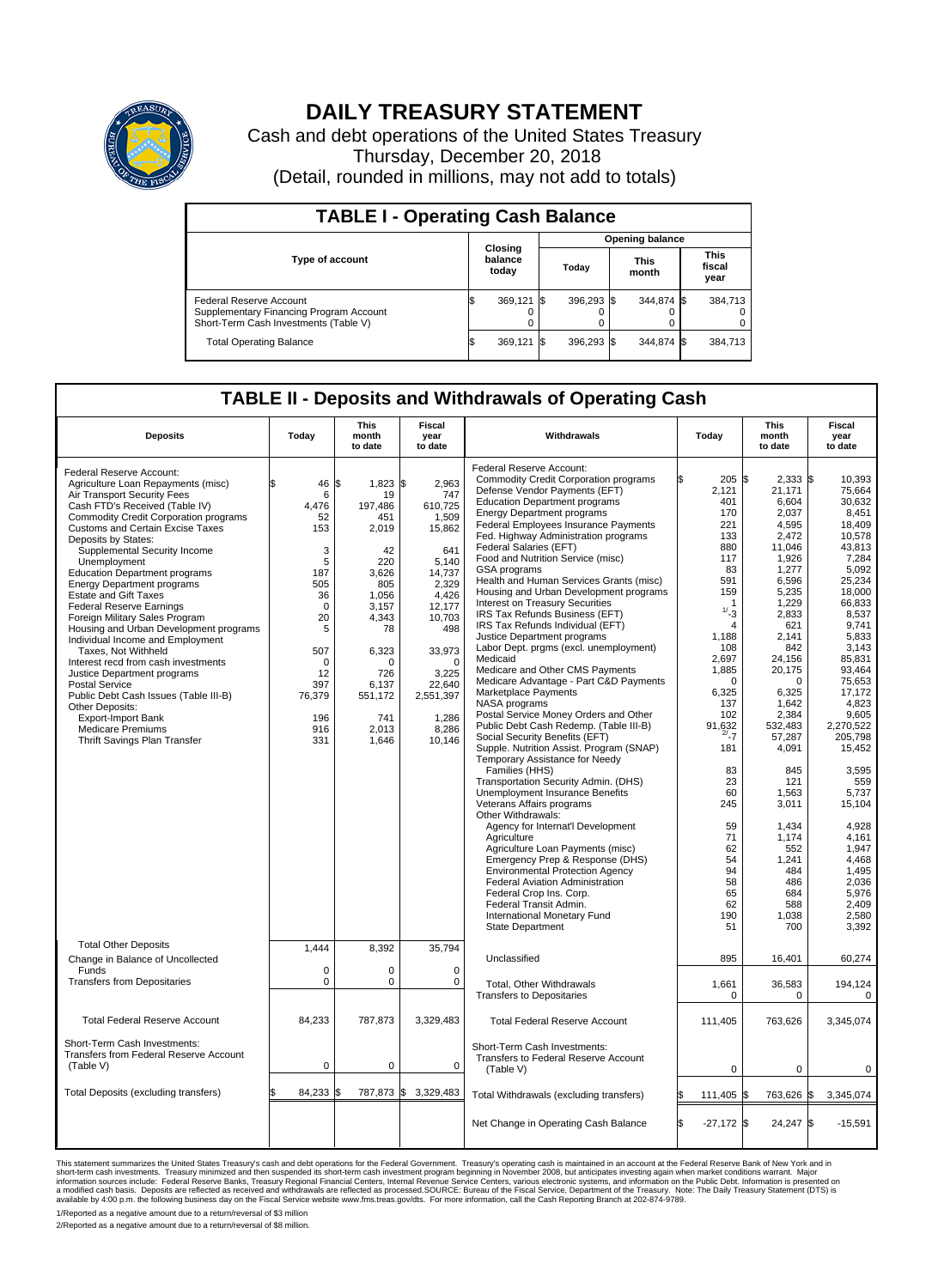

## **DAILY TREASURY STATEMENT**

Cash and debt operations of the United States Treasury Thursday, December 20, 2018 (Detail, rounded in millions, may not add to totals)

| <b>TABLE I - Operating Cash Balance</b>                                                                     |                             |         |                        |            |                      |            |                               |         |  |  |  |
|-------------------------------------------------------------------------------------------------------------|-----------------------------|---------|------------------------|------------|----------------------|------------|-------------------------------|---------|--|--|--|
|                                                                                                             | Closing<br>balance<br>today |         | <b>Opening balance</b> |            |                      |            |                               |         |  |  |  |
| <b>Type of account</b>                                                                                      |                             |         | Today                  |            | <b>This</b><br>month |            | <b>This</b><br>fiscal<br>year |         |  |  |  |
| Federal Reserve Account<br>Supplementary Financing Program Account<br>Short-Term Cash Investments (Table V) |                             | 369,121 |                        | 396,293 \$ |                      | 344.874 \$ |                               | 384,713 |  |  |  |
| <b>Total Operating Balance</b>                                                                              | ß.                          | 369,121 |                        | 396,293 \$ |                      | 344,874 \$ |                               | 384,713 |  |  |  |

## **TABLE II - Deposits and Withdrawals of Operating Cash**

|                                                            |                    | <b>This</b>       | <b>Fiscal</b>   |                                                              |                     | <b>This</b>           | <b>Fiscal</b>   |
|------------------------------------------------------------|--------------------|-------------------|-----------------|--------------------------------------------------------------|---------------------|-----------------------|-----------------|
| <b>Deposits</b>                                            | Today              | month<br>to date  | year<br>to date | Withdrawals                                                  | Today               | month<br>to date      | year<br>to date |
| Federal Reserve Account:                                   |                    |                   |                 | Federal Reserve Account:                                     |                     |                       |                 |
| Agriculture Loan Repayments (misc)                         | \$<br>46           | 1\$<br>$1,823$ \$ | 2,963           | <b>Commodity Credit Corporation programs</b>                 | 205S                | $2,333$ \$            | 10,393          |
| Air Transport Security Fees                                | 6                  | 19                | 747             | Defense Vendor Payments (EFT)                                | 2,121               | 21,171                | 75,664          |
| Cash FTD's Received (Table IV)                             | 4.476              | 197.486           | 610.725         | <b>Education Department programs</b>                         | 401                 | 6,604                 | 30,632          |
| <b>Commodity Credit Corporation programs</b>               | 52                 | 451               | 1,509           | <b>Energy Department programs</b>                            | 170                 | 2.037                 | 8.451           |
| <b>Customs and Certain Excise Taxes</b>                    | 153                | 2,019             | 15,862          | Federal Employees Insurance Payments                         | 221                 | 4.595                 | 18.409          |
| Deposits by States:                                        |                    |                   |                 | Fed. Highway Administration programs                         | 133                 | 2,472                 | 10,578          |
| Supplemental Security Income                               | 3                  | 42                | 641             | Federal Salaries (EFT)                                       | 880                 | 11,046                | 43,813          |
| Unemployment                                               | 5                  | 220               | 5,140           | Food and Nutrition Service (misc)                            | 117                 | 1.926                 | 7,284           |
| <b>Education Department programs</b>                       | 187                | 3,626             | 14,737          | GSA programs<br>Health and Human Services Grants (misc)      | 83<br>591           | 1,277<br>6,596        | 5,092<br>25,234 |
| <b>Energy Department programs</b>                          | 505                | 805               | 2.329           | Housing and Urban Development programs                       | 159                 | 5.235                 | 18.000          |
| <b>Estate and Gift Taxes</b>                               | 36                 | 1,056             | 4,426           | Interest on Treasury Securities                              |                     | 1,229                 | 66,833          |
| <b>Federal Reserve Earnings</b>                            | $\mathbf 0$        | 3,157             | 12,177          | IRS Tax Refunds Business (EFT)                               | $1/ -3$             | 2,833                 | 8,537           |
| Foreign Military Sales Program                             | 20                 | 4,343             | 10,703          | IRS Tax Refunds Individual (EFT)                             | $\overline{4}$      | 621                   | 9,741           |
| Housing and Urban Development programs                     | 5                  | 78                | 498             | Justice Department programs                                  | 1,188               | 2.141                 | 5.833           |
| Individual Income and Employment                           |                    |                   | 33,973          | Labor Dept. prgms (excl. unemployment)                       | 108                 | 842                   | 3,143           |
| Taxes, Not Withheld<br>Interest recd from cash investments | 507<br>$\mathbf 0$ | 6,323<br>0        | $\Omega$        | Medicaid                                                     | 2,697               | 24.156                | 85,831          |
| Justice Department programs                                | 12                 | 726               | 3,225           | Medicare and Other CMS Payments                              | 1,885               | 20,175                | 93,464          |
| <b>Postal Service</b>                                      | 397                | 6,137             | 22,640          | Medicare Advantage - Part C&D Payments                       | $\Omega$            | $\Omega$              | 75,653          |
| Public Debt Cash Issues (Table III-B)                      | 76,379             | 551,172           | 2,551,397       | Marketplace Payments                                         | 6,325               | 6,325                 | 17,172          |
| Other Deposits:                                            |                    |                   |                 | NASA programs                                                | 137                 | 1,642                 | 4,823           |
| Export-Import Bank                                         | 196                | 741               | 1,286           | Postal Service Money Orders and Other                        | 102                 | 2,384                 | 9.605           |
| <b>Medicare Premiums</b>                                   | 916                | 2.013             | 8,286           | Public Debt Cash Redemp. (Table III-B)                       | 91,632              | 532,483               | 2,270,522       |
| Thrift Savings Plan Transfer                               | 331                | 1,646             | 10,146          | Social Security Benefits (EFT)                               | $^{2/-}$ 7          | 57,287                | 205.798         |
|                                                            |                    |                   |                 | Supple. Nutrition Assist. Program (SNAP)                     | 181                 | 4,091                 | 15,452          |
|                                                            |                    |                   |                 | Temporary Assistance for Needy                               |                     |                       |                 |
|                                                            |                    |                   |                 | Families (HHS)                                               | 83                  | 845                   | 3,595           |
|                                                            |                    |                   |                 | Transportation Security Admin. (DHS)                         | 23                  | 121                   | 559             |
|                                                            |                    |                   |                 | <b>Unemployment Insurance Benefits</b>                       | 60                  | 1.563                 | 5.737           |
|                                                            |                    |                   |                 | Veterans Affairs programs<br>Other Withdrawals:              | 245                 | 3,011                 | 15,104          |
|                                                            |                    |                   |                 | Agency for Internat'l Development                            | 59                  | 1,434                 | 4,928           |
|                                                            |                    |                   |                 | Agriculture                                                  | 71                  | 1,174                 | 4,161           |
|                                                            |                    |                   |                 | Agriculture Loan Payments (misc)                             | 62                  | 552                   | 1,947           |
|                                                            |                    |                   |                 | Emergency Prep & Response (DHS)                              | 54                  | 1,241                 | 4,468           |
|                                                            |                    |                   |                 | <b>Environmental Protection Agency</b>                       | 94                  | 484                   | 1.495           |
|                                                            |                    |                   |                 | Federal Aviation Administration                              | 58                  | 486                   | 2,036           |
|                                                            |                    |                   |                 | Federal Crop Ins. Corp.                                      | 65                  | 684                   | 5.976           |
|                                                            |                    |                   |                 | Federal Transit Admin.                                       | 62                  | 588                   | 2.409           |
|                                                            |                    |                   |                 | International Monetary Fund                                  | 190                 | 1,038                 | 2,580           |
|                                                            |                    |                   |                 | State Department                                             | 51                  | 700                   | 3,392           |
| <b>Total Other Deposits</b>                                |                    |                   |                 |                                                              |                     |                       |                 |
|                                                            | 1,444              | 8,392             | 35,794          | Unclassified                                                 | 895                 | 16,401                | 60,274          |
| Change in Balance of Uncollected<br>Funds                  | $\mathbf 0$        | 0                 | $\Omega$        |                                                              |                     |                       |                 |
| <b>Transfers from Depositaries</b>                         | $\mathbf 0$        | 0                 | $\mathbf 0$     |                                                              |                     |                       |                 |
|                                                            |                    |                   |                 | Total, Other Withdrawals<br><b>Transfers to Depositaries</b> | 1,661<br>0          | 36,583<br>$\mathbf 0$ | 194,124<br>0    |
|                                                            |                    |                   |                 |                                                              |                     |                       |                 |
| <b>Total Federal Reserve Account</b>                       | 84,233             | 787,873           | 3,329,483       | <b>Total Federal Reserve Account</b>                         |                     |                       | 3,345,074       |
|                                                            |                    |                   |                 |                                                              | 111,405             | 763,626               |                 |
| Short-Term Cash Investments:                               |                    |                   |                 | Short-Term Cash Investments:                                 |                     |                       |                 |
| Transfers from Federal Reserve Account                     |                    |                   |                 | Transfers to Federal Reserve Account                         |                     |                       |                 |
| (Table V)                                                  | $\mathbf 0$        | 0                 | $\mathbf 0$     | (Table V)                                                    | $\mathbf 0$         | $\mathbf 0$           | $\mathbf 0$     |
|                                                            |                    |                   |                 |                                                              |                     |                       |                 |
| Total Deposits (excluding transfers)                       | \$<br>84,233       | 787,873 \$<br>l\$ | 3,329,483       | Total Withdrawals (excluding transfers)                      | 111,405             | 763,626 \$<br>ß.      | 3,345,074       |
|                                                            |                    |                   |                 |                                                              |                     |                       |                 |
|                                                            |                    |                   |                 |                                                              |                     |                       |                 |
|                                                            |                    |                   |                 | Net Change in Operating Cash Balance                         | l\$<br>$-27,172$ \$ | 24,247 \$             | $-15,591$       |
|                                                            |                    |                   |                 |                                                              |                     |                       |                 |

This statement summarizes the United States Treasury's cash and debt operations for the Federal Government. Treasury soperating in November 2008, but anticiarded in a cocount at the Federal Reserve Bank of New York and in<br>

1/Reported as a negative amount due to a return/reversal of \$3 million 2/Reported as a negative amount due to a return/reversal of \$8 million.